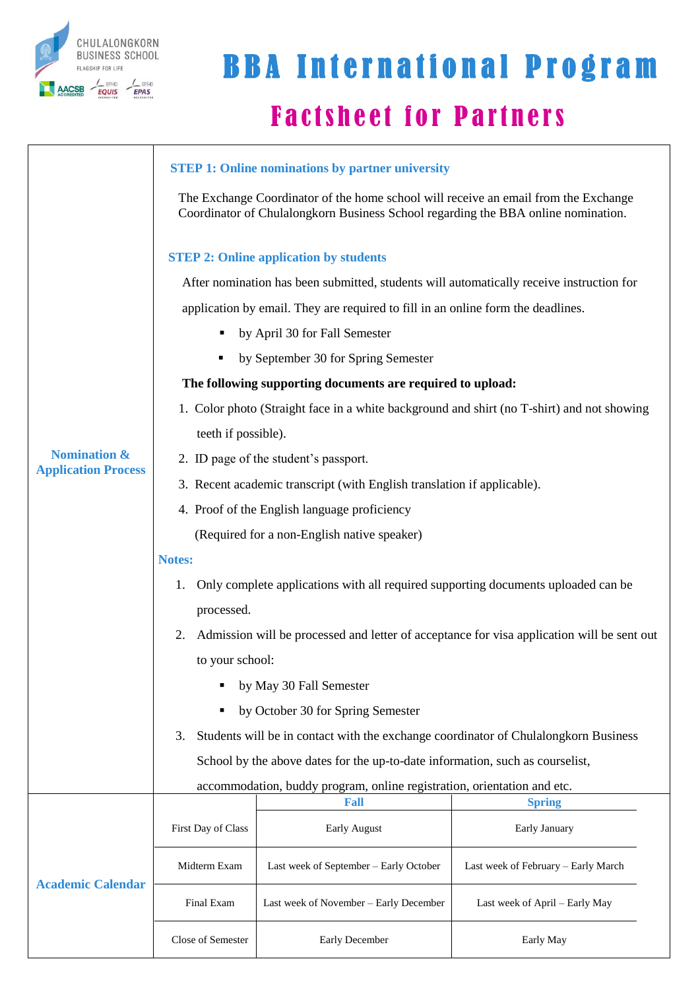

## **Factsheet for Partners BBA International Program**

|                            | <b>STEP 1: Online nominations by partner university</b>                                                                                                                  |                                        |                                     |  |  |  |  |
|----------------------------|--------------------------------------------------------------------------------------------------------------------------------------------------------------------------|----------------------------------------|-------------------------------------|--|--|--|--|
|                            | The Exchange Coordinator of the home school will receive an email from the Exchange<br>Coordinator of Chulalongkorn Business School regarding the BBA online nomination. |                                        |                                     |  |  |  |  |
|                            | <b>STEP 2: Online application by students</b>                                                                                                                            |                                        |                                     |  |  |  |  |
|                            | After nomination has been submitted, students will automatically receive instruction for                                                                                 |                                        |                                     |  |  |  |  |
|                            | application by email. They are required to fill in an online form the deadlines.                                                                                         |                                        |                                     |  |  |  |  |
|                            | by April 30 for Fall Semester<br>٠                                                                                                                                       |                                        |                                     |  |  |  |  |
|                            | by September 30 for Spring Semester<br>п                                                                                                                                 |                                        |                                     |  |  |  |  |
|                            | The following supporting documents are required to upload:                                                                                                               |                                        |                                     |  |  |  |  |
|                            | 1. Color photo (Straight face in a white background and shirt (no T-shirt) and not showing                                                                               |                                        |                                     |  |  |  |  |
|                            | teeth if possible).                                                                                                                                                      |                                        |                                     |  |  |  |  |
| <b>Nomination &amp;</b>    | 2. ID page of the student's passport.                                                                                                                                    |                                        |                                     |  |  |  |  |
| <b>Application Process</b> | 3. Recent academic transcript (with English translation if applicable).                                                                                                  |                                        |                                     |  |  |  |  |
|                            | 4. Proof of the English language proficiency                                                                                                                             |                                        |                                     |  |  |  |  |
|                            | (Required for a non-English native speaker)                                                                                                                              |                                        |                                     |  |  |  |  |
|                            | Notes:                                                                                                                                                                   |                                        |                                     |  |  |  |  |
|                            | Only complete applications with all required supporting documents uploaded can be<br>1.                                                                                  |                                        |                                     |  |  |  |  |
|                            | processed.                                                                                                                                                               |                                        |                                     |  |  |  |  |
|                            | Admission will be processed and letter of acceptance for visa application will be sent out<br>2.                                                                         |                                        |                                     |  |  |  |  |
|                            | to your school:                                                                                                                                                          |                                        |                                     |  |  |  |  |
|                            | by May 30 Fall Semester                                                                                                                                                  |                                        |                                     |  |  |  |  |
|                            | by October 30 for Spring Semester<br>٠                                                                                                                                   |                                        |                                     |  |  |  |  |
|                            | Students will be in contact with the exchange coordinator of Chulalongkorn Business<br>3.                                                                                |                                        |                                     |  |  |  |  |
|                            | School by the above dates for the up-to-date information, such as courselist,                                                                                            |                                        |                                     |  |  |  |  |
|                            | accommodation, buddy program, online registration, orientation and etc.                                                                                                  |                                        |                                     |  |  |  |  |
|                            |                                                                                                                                                                          | Fall                                   | <b>Spring</b>                       |  |  |  |  |
|                            | First Day of Class                                                                                                                                                       | <b>Early August</b>                    | Early January                       |  |  |  |  |
|                            | Midterm Exam                                                                                                                                                             | Last week of September - Early October | Last week of February - Early March |  |  |  |  |
| <b>Academic Calendar</b>   | Final Exam                                                                                                                                                               | Last week of November - Early December | Last week of April – Early May      |  |  |  |  |
|                            | Close of Semester                                                                                                                                                        | Early December                         | Early May                           |  |  |  |  |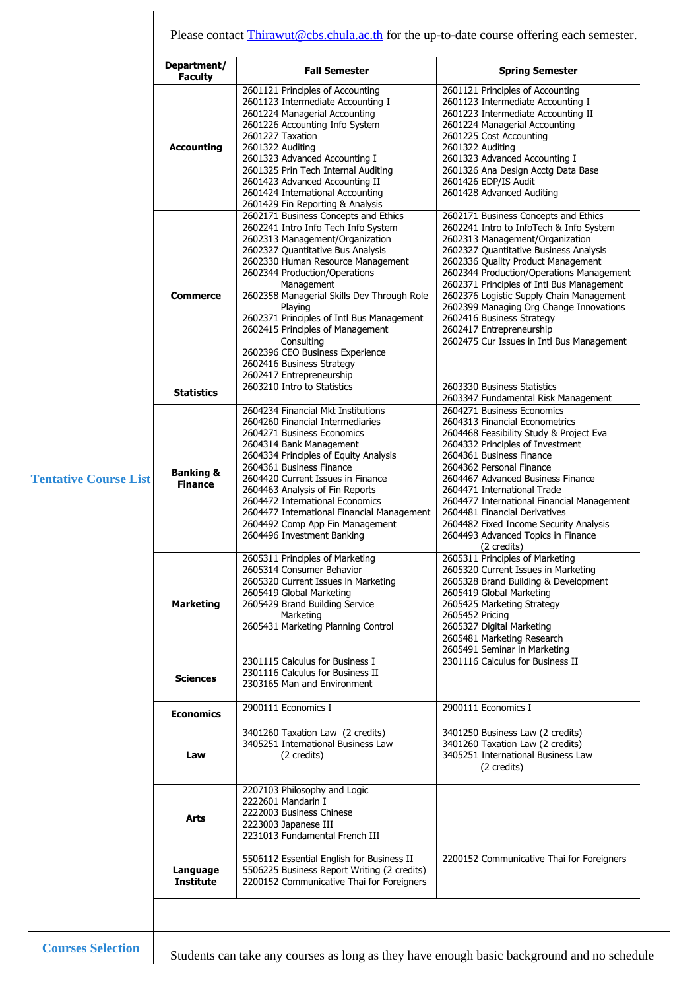|                              | Department/<br><b>Faculty</b>          | <b>Fall Semester</b>                                                                                                                                                                                                                                                                                                                                                                                                                                                                        | <b>Spring Semester</b>                                                                                                                                                                                                                                                                                                                                                                                                                                                                   |  |  |
|------------------------------|----------------------------------------|---------------------------------------------------------------------------------------------------------------------------------------------------------------------------------------------------------------------------------------------------------------------------------------------------------------------------------------------------------------------------------------------------------------------------------------------------------------------------------------------|------------------------------------------------------------------------------------------------------------------------------------------------------------------------------------------------------------------------------------------------------------------------------------------------------------------------------------------------------------------------------------------------------------------------------------------------------------------------------------------|--|--|
|                              | <b>Accounting</b>                      | 2601121 Principles of Accounting<br>2601123 Intermediate Accounting I<br>2601224 Managerial Accounting<br>2601226 Accounting Info System<br>2601227 Taxation<br>2601322 Auditing<br>2601323 Advanced Accounting I<br>2601325 Prin Tech Internal Auditing<br>2601423 Advanced Accounting II<br>2601424 International Accounting<br>2601429 Fin Reporting & Analysis                                                                                                                          | 2601121 Principles of Accounting<br>2601123 Intermediate Accounting I<br>2601223 Intermediate Accounting II<br>2601224 Managerial Accounting<br>2601225 Cost Accounting<br>2601322 Auditing<br>2601323 Advanced Accounting I<br>2601326 Ana Design Acctg Data Base<br>2601426 EDP/IS Audit<br>2601428 Advanced Auditing                                                                                                                                                                  |  |  |
|                              | <b>Commerce</b>                        | 2602171 Business Concepts and Ethics<br>2602241 Intro Info Tech Info System<br>2602313 Management/Organization<br>2602327 Quantitative Bus Analysis<br>2602330 Human Resource Management<br>2602344 Production/Operations<br>Management<br>2602358 Managerial Skills Dev Through Role<br>Playing<br>2602371 Principles of Intl Bus Management<br>2602415 Principles of Management<br>Consulting<br>2602396 CEO Business Experience<br>2602416 Business Strategy<br>2602417 Entrepreneurship | 2602171 Business Concepts and Ethics<br>2602241 Intro to InfoTech & Info System<br>2602313 Management/Organization<br>2602327 Quantitative Business Analysis<br>2602336 Quality Product Management<br>2602344 Production/Operations Management<br>2602371 Principles of Intl Bus Management<br>2602376 Logistic Supply Chain Management<br>2602399 Managing Org Change Innovations<br>2602416 Business Strategy<br>2602417 Entrepreneurship<br>2602475 Cur Issues in Intl Bus Management |  |  |
|                              | <b>Statistics</b>                      | 2603210 Intro to Statistics                                                                                                                                                                                                                                                                                                                                                                                                                                                                 | 2603330 Business Statistics<br>2603347 Fundamental Risk Management                                                                                                                                                                                                                                                                                                                                                                                                                       |  |  |
| <b>Tentative Course List</b> | <b>Banking &amp;</b><br><b>Finance</b> | 2604234 Financial Mkt Institutions<br>2604260 Financial Intermediaries<br>2604271 Business Economics<br>2604314 Bank Management<br>2604334 Principles of Equity Analysis<br>2604361 Business Finance<br>2604420 Current Issues in Finance<br>2604463 Analysis of Fin Reports<br>2604472 International Economics<br>2604477 International Financial Management<br>2604492 Comp App Fin Management<br>2604496 Investment Banking                                                              | 2604271 Business Economics<br>2604313 Financial Econometrics<br>2604468 Feasibility Study & Project Eva<br>2604332 Principles of Investment<br>2604361 Business Finance<br>2604362 Personal Finance<br>2604467 Advanced Business Finance<br>2604471 International Trade<br>2604477 International Financial Management<br>2604481 Financial Derivatives<br>2604482 Fixed Income Security Analysis<br>2604493 Advanced Topics in Finance<br>(2 credits)                                    |  |  |
|                              | <b>Marketing</b>                       | 2605311 Principles of Marketing<br>2605314 Consumer Behavior<br>2605320 Current Issues in Marketing<br>2605419 Global Marketing<br>2605429 Brand Building Service<br>Marketing<br>2605431 Marketing Planning Control                                                                                                                                                                                                                                                                        | 2605311 Principles of Marketing<br>2605320 Current Issues in Marketing<br>2605328 Brand Building & Development<br>2605419 Global Marketing<br>2605425 Marketing Strategy<br>2605452 Pricing<br>2605327 Digital Marketing<br>2605481 Marketing Research<br>2605491 Seminar in Marketing                                                                                                                                                                                                   |  |  |
|                              | <b>Sciences</b>                        | 2301115 Calculus for Business I<br>2301116 Calculus for Business II<br>2303165 Man and Environment                                                                                                                                                                                                                                                                                                                                                                                          | 2301116 Calculus for Business II                                                                                                                                                                                                                                                                                                                                                                                                                                                         |  |  |
|                              | <b>Economics</b>                       | 2900111 Economics I                                                                                                                                                                                                                                                                                                                                                                                                                                                                         | 2900111 Economics I                                                                                                                                                                                                                                                                                                                                                                                                                                                                      |  |  |
|                              | Law                                    | 3401260 Taxation Law (2 credits)<br>3405251 International Business Law<br>(2 credits)                                                                                                                                                                                                                                                                                                                                                                                                       | 3401250 Business Law (2 credits)<br>3401260 Taxation Law (2 credits)<br>3405251 International Business Law<br>(2 credits)                                                                                                                                                                                                                                                                                                                                                                |  |  |
|                              | Arts                                   | 2207103 Philosophy and Logic<br>2222601 Mandarin I<br>2222003 Business Chinese<br>2223003 Japanese III<br>2231013 Fundamental French III                                                                                                                                                                                                                                                                                                                                                    |                                                                                                                                                                                                                                                                                                                                                                                                                                                                                          |  |  |
|                              |                                        | 5506112 Essential English for Business II                                                                                                                                                                                                                                                                                                                                                                                                                                                   | 2200152 Communicative Thai for Foreigners                                                                                                                                                                                                                                                                                                                                                                                                                                                |  |  |

⊤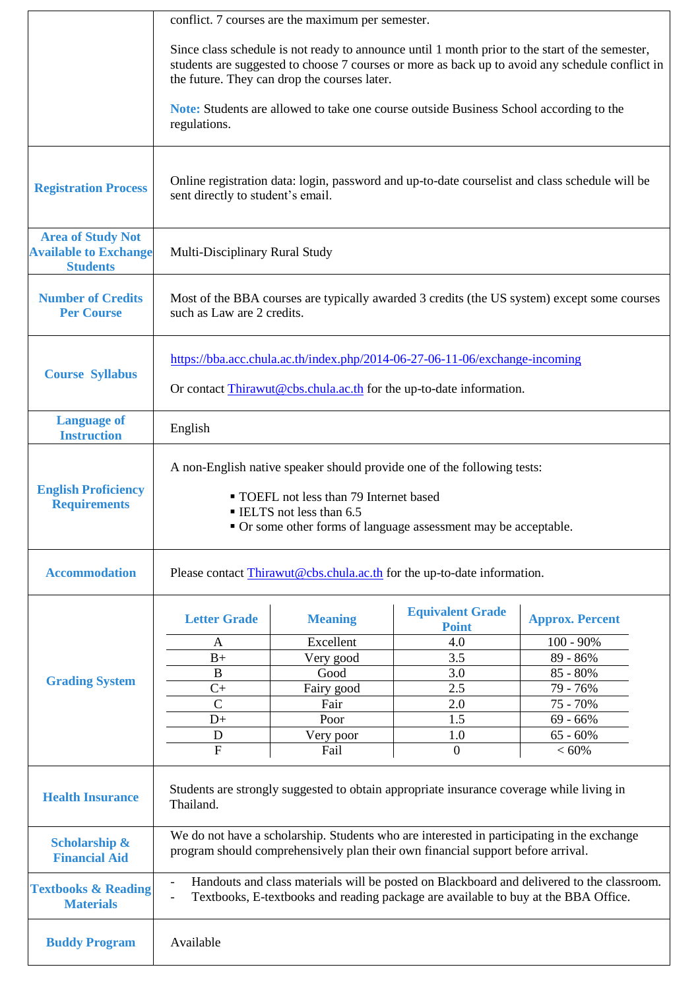|                                                                             | conflict. 7 courses are the maximum per semester.                                                                                                                                                                                                  |                    |                                         |                         |  |  |
|-----------------------------------------------------------------------------|----------------------------------------------------------------------------------------------------------------------------------------------------------------------------------------------------------------------------------------------------|--------------------|-----------------------------------------|-------------------------|--|--|
|                                                                             | Since class schedule is not ready to announce until 1 month prior to the start of the semester,<br>students are suggested to choose 7 courses or more as back up to avoid any schedule conflict in<br>the future. They can drop the courses later. |                    |                                         |                         |  |  |
|                                                                             | <b>Note:</b> Students are allowed to take one course outside Business School according to the<br>regulations.                                                                                                                                      |                    |                                         |                         |  |  |
| <b>Registration Process</b>                                                 | Online registration data: login, password and up-to-date courselist and class schedule will be<br>sent directly to student's email.                                                                                                                |                    |                                         |                         |  |  |
| <b>Area of Study Not</b><br><b>Available to Exchange</b><br><b>Students</b> | Multi-Disciplinary Rural Study                                                                                                                                                                                                                     |                    |                                         |                         |  |  |
| <b>Number of Credits</b><br><b>Per Course</b>                               | Most of the BBA courses are typically awarded 3 credits (the US system) except some courses<br>such as Law are 2 credits.                                                                                                                          |                    |                                         |                         |  |  |
| <b>Course Syllabus</b>                                                      | https://bba.acc.chula.ac.th/index.php/2014-06-27-06-11-06/exchange-incoming                                                                                                                                                                        |                    |                                         |                         |  |  |
|                                                                             | Or contact Thirawut@cbs.chula.ac.th for the up-to-date information.                                                                                                                                                                                |                    |                                         |                         |  |  |
| <b>Language of</b><br><b>Instruction</b>                                    | English                                                                                                                                                                                                                                            |                    |                                         |                         |  |  |
| <b>English Proficiency</b><br><b>Requirements</b>                           | A non-English native speaker should provide one of the following tests:<br>• TOEFL not less than 79 Internet based<br><b>ELTS</b> not less than 6.5<br>• Or some other forms of language assessment may be acceptable.                             |                    |                                         |                         |  |  |
| <b>Accommodation</b>                                                        | Please contact Thirawut@cbs.chula.ac.th for the up-to-date information.                                                                                                                                                                            |                    |                                         |                         |  |  |
|                                                                             | <b>Letter Grade</b>                                                                                                                                                                                                                                | <b>Meaning</b>     | <b>Equivalent Grade</b><br><b>Point</b> | <b>Approx. Percent</b>  |  |  |
|                                                                             | A                                                                                                                                                                                                                                                  | Excellent          | 4.0                                     | $100 - 90\%$            |  |  |
|                                                                             | $B+$                                                                                                                                                                                                                                               | Very good          | 3.5                                     | 89 - 86%                |  |  |
| <b>Grading System</b>                                                       | B<br>$C+$                                                                                                                                                                                                                                          | Good               | 3.0<br>2.5                              | $85 - 80\%$<br>79 - 76% |  |  |
|                                                                             | $\overline{C}$                                                                                                                                                                                                                                     | Fairy good<br>Fair | 2.0                                     | 75 - 70%                |  |  |
|                                                                             | $D+$                                                                                                                                                                                                                                               | Poor               | 1.5                                     | $69 - 66%$              |  |  |
|                                                                             | D                                                                                                                                                                                                                                                  | Very poor          | 1.0                                     | $65 - 60\%$             |  |  |
|                                                                             | $\mathbf F$                                                                                                                                                                                                                                        | Fail               | $\mathbf{0}$                            | ${}< 60\%$              |  |  |
| <b>Health Insurance</b>                                                     | Students are strongly suggested to obtain appropriate insurance coverage while living in<br>Thailand.                                                                                                                                              |                    |                                         |                         |  |  |
| <b>Scholarship &amp;</b><br><b>Financial Aid</b>                            | We do not have a scholarship. Students who are interested in participating in the exchange<br>program should comprehensively plan their own financial support before arrival.                                                                      |                    |                                         |                         |  |  |
| <b>Textbooks &amp; Reading</b><br><b>Materials</b>                          | Handouts and class materials will be posted on Blackboard and delivered to the classroom.<br>Textbooks, E-textbooks and reading package are available to buy at the BBA Office.                                                                    |                    |                                         |                         |  |  |
| <b>Buddy Program</b>                                                        | Available                                                                                                                                                                                                                                          |                    |                                         |                         |  |  |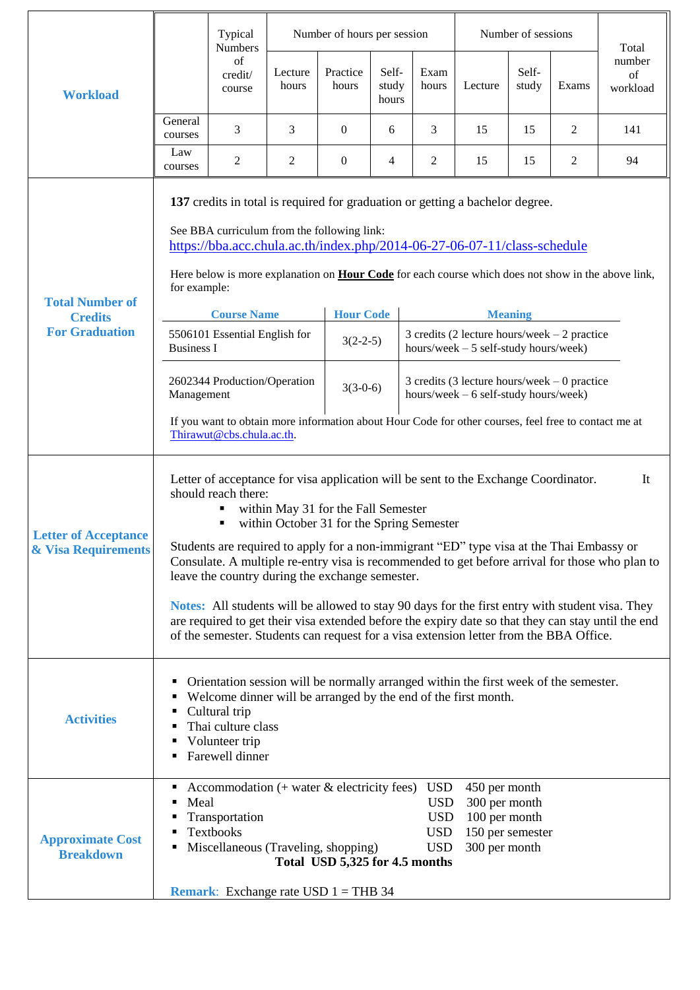|                                                               |                                                                                                                                                                                                                                                                                                                                                                                                                                                                                                                                                                                                                                                                                                                                                          | Number of hours per session<br>Typical<br><b>Numbers</b>                                                                                                                    |                  |                                |                         |                                                                                         | Number of sessions                                                                   |                |       | Total                    |
|---------------------------------------------------------------|----------------------------------------------------------------------------------------------------------------------------------------------------------------------------------------------------------------------------------------------------------------------------------------------------------------------------------------------------------------------------------------------------------------------------------------------------------------------------------------------------------------------------------------------------------------------------------------------------------------------------------------------------------------------------------------------------------------------------------------------------------|-----------------------------------------------------------------------------------------------------------------------------------------------------------------------------|------------------|--------------------------------|-------------------------|-----------------------------------------------------------------------------------------|--------------------------------------------------------------------------------------|----------------|-------|--------------------------|
| <b>Workload</b>                                               |                                                                                                                                                                                                                                                                                                                                                                                                                                                                                                                                                                                                                                                                                                                                                          | of<br>credit/<br>course                                                                                                                                                     | Lecture<br>hours | Practice<br>hours              | Self-<br>study<br>hours | Exam<br>hours                                                                           | Lecture                                                                              | Self-<br>study | Exams | number<br>of<br>workload |
|                                                               | General<br>courses                                                                                                                                                                                                                                                                                                                                                                                                                                                                                                                                                                                                                                                                                                                                       | 3                                                                                                                                                                           | 3                | $\overline{0}$                 | 6                       | 3                                                                                       | 15                                                                                   | 15             | 2     | 141                      |
|                                                               | Law<br>courses                                                                                                                                                                                                                                                                                                                                                                                                                                                                                                                                                                                                                                                                                                                                           | 2                                                                                                                                                                           | $\overline{c}$   | $\mathbf{0}$                   | 4                       | 2                                                                                       | 15                                                                                   | 15             | 2     | 94                       |
| <b>Total Number of</b>                                        | 137 credits in total is required for graduation or getting a bachelor degree.<br>See BBA curriculum from the following link:<br>https://bba.acc.chula.ac.th/index.php/2014-06-27-06-07-11/class-schedule<br>Here below is more explanation on <b>Hour Code</b> for each course which does not show in the above link,<br>for example:                                                                                                                                                                                                                                                                                                                                                                                                                    |                                                                                                                                                                             |                  |                                |                         |                                                                                         |                                                                                      |                |       |                          |
| <b>Credits</b><br><b>For Graduation</b>                       |                                                                                                                                                                                                                                                                                                                                                                                                                                                                                                                                                                                                                                                                                                                                                          | <b>Course Name</b>                                                                                                                                                          |                  |                                | <b>Hour Code</b>        |                                                                                         | <b>Meaning</b><br>3 credits (2 lecture hours/week $-2$ practice                      |                |       |                          |
|                                                               | 5506101 Essential English for<br><b>Business I</b>                                                                                                                                                                                                                                                                                                                                                                                                                                                                                                                                                                                                                                                                                                       |                                                                                                                                                                             | $3(2-2-5)$       |                                |                         | hours/week $-5$ self-study hours/week)                                                  |                                                                                      |                |       |                          |
|                                                               | 2602344 Production/Operation<br>Management                                                                                                                                                                                                                                                                                                                                                                                                                                                                                                                                                                                                                                                                                                               |                                                                                                                                                                             |                  | $3(3-0-6)$                     |                         | 3 credits (3 lecture hours/week $-0$ practice<br>hours/week $-6$ self-study hours/week) |                                                                                      |                |       |                          |
|                                                               | If you want to obtain more information about Hour Code for other courses, feel free to contact me at<br>Thirawut@cbs.chula.ac.th.                                                                                                                                                                                                                                                                                                                                                                                                                                                                                                                                                                                                                        |                                                                                                                                                                             |                  |                                |                         |                                                                                         |                                                                                      |                |       |                          |
| <b>Letter of Acceptance</b><br><b>&amp; Visa Requirements</b> | Letter of acceptance for visa application will be sent to the Exchange Coordinator.<br>It<br>should reach there:<br>within May 31 for the Fall Semester<br>within October 31 for the Spring Semester<br>Students are required to apply for a non-immigrant "ED" type visa at the Thai Embassy or<br>Consulate. A multiple re-entry visa is recommended to get before arrival for those who plan to<br>leave the country during the exchange semester.<br>Notes: All students will be allowed to stay 90 days for the first entry with student visa. They<br>are required to get their visa extended before the expiry date so that they can stay until the end<br>of the semester. Students can request for a visa extension letter from the BBA Office. |                                                                                                                                                                             |                  |                                |                         |                                                                                         |                                                                                      |                |       |                          |
| <b>Activities</b>                                             | Orientation session will be normally arranged within the first week of the semester.<br>٠<br>Welcome dinner will be arranged by the end of the first month.<br>п<br>Cultural trip<br>п<br>Thai culture class<br>٠<br>Volunteer trip<br>٠<br>Farewell dinner                                                                                                                                                                                                                                                                                                                                                                                                                                                                                              |                                                                                                                                                                             |                  |                                |                         |                                                                                         |                                                                                      |                |       |                          |
| <b>Approximate Cost</b><br><b>Breakdown</b>                   | ٠<br>Meal<br>٠<br>ш<br>٠                                                                                                                                                                                                                                                                                                                                                                                                                                                                                                                                                                                                                                                                                                                                 | Accommodation $($ + water & electricity fees)<br>Transportation<br><b>Textbooks</b><br>Miscellaneous (Traveling, shopping)<br><b>Remark:</b> Exchange rate USD $1 = THB$ 34 |                  | Total USD 5,325 for 4.5 months |                         | <b>USD</b><br><b>USD</b><br><b>USD</b><br><b>USD</b><br><b>USD</b>                      | 450 per month<br>300 per month<br>100 per month<br>150 per semester<br>300 per month |                |       |                          |